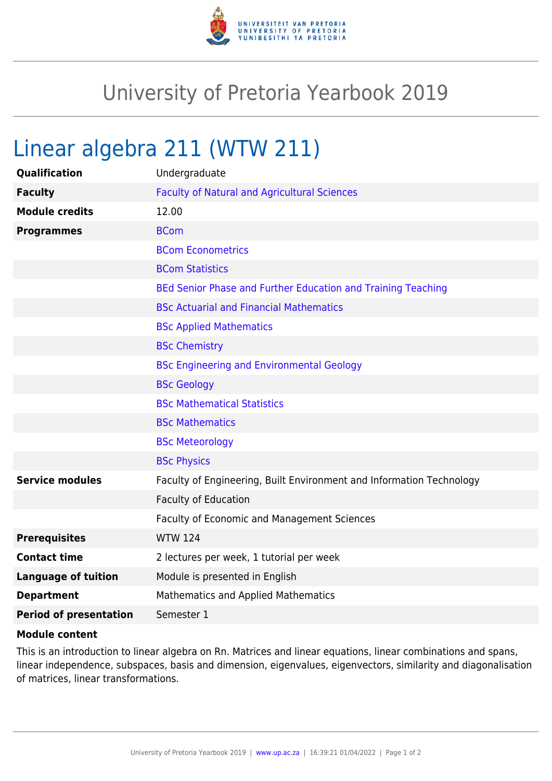

## University of Pretoria Yearbook 2019

## Linear algebra 211 (WTW 211)

| <b>Qualification</b>          | Undergraduate                                                        |
|-------------------------------|----------------------------------------------------------------------|
| <b>Faculty</b>                | <b>Faculty of Natural and Agricultural Sciences</b>                  |
| <b>Module credits</b>         | 12.00                                                                |
| <b>Programmes</b>             | <b>BCom</b>                                                          |
|                               | <b>BCom Econometrics</b>                                             |
|                               | <b>BCom Statistics</b>                                               |
|                               | BEd Senior Phase and Further Education and Training Teaching         |
|                               | <b>BSc Actuarial and Financial Mathematics</b>                       |
|                               | <b>BSc Applied Mathematics</b>                                       |
|                               | <b>BSc Chemistry</b>                                                 |
|                               | <b>BSc Engineering and Environmental Geology</b>                     |
|                               | <b>BSc Geology</b>                                                   |
|                               | <b>BSc Mathematical Statistics</b>                                   |
|                               | <b>BSc Mathematics</b>                                               |
|                               | <b>BSc Meteorology</b>                                               |
|                               | <b>BSc Physics</b>                                                   |
| <b>Service modules</b>        | Faculty of Engineering, Built Environment and Information Technology |
|                               | Faculty of Education                                                 |
|                               | Faculty of Economic and Management Sciences                          |
| <b>Prerequisites</b>          | <b>WTW 124</b>                                                       |
| <b>Contact time</b>           | 2 lectures per week, 1 tutorial per week                             |
| <b>Language of tuition</b>    | Module is presented in English                                       |
| <b>Department</b>             | <b>Mathematics and Applied Mathematics</b>                           |
| <b>Period of presentation</b> | Semester 1                                                           |

## **Module content**

This is an introduction to linear algebra on Rn. Matrices and linear equations, linear combinations and spans, linear independence, subspaces, basis and dimension, eigenvalues, eigenvectors, similarity and diagonalisation of matrices, linear transformations.